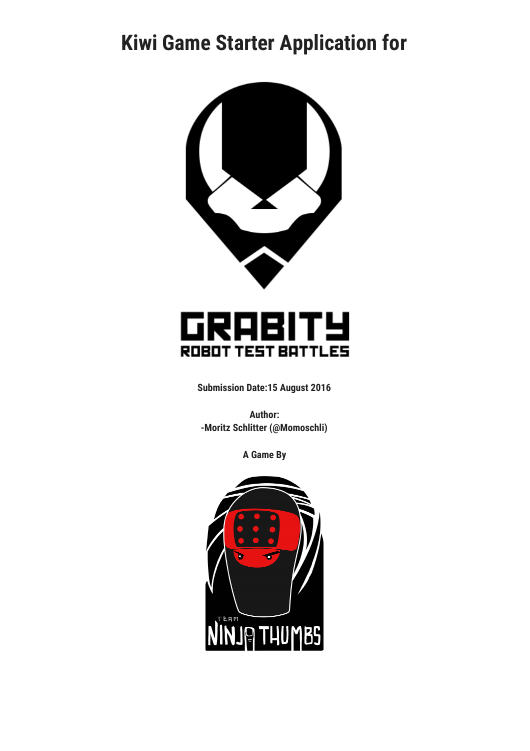# **Kiwi Game Starter Application for**



#### RABI1 ГУ Gl ROBOT TEST BATTLES

**Submission Date:15 August 2016**

**Author: -Moritz Schlitter (@Momoschli)**

**A Game By**

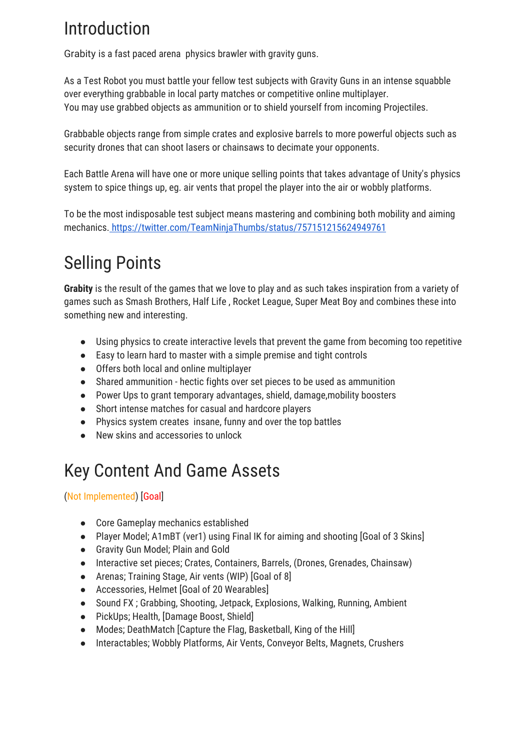## Introduction

Grabity is a fast paced arena physics brawler with gravity guns.

As a Test Robot you must battle your fellow test subjects with Gravity Guns in an intense squabble over everything grabbable in local party matches or competitive online multiplayer. You may use grabbed objects as ammunition or to shield yourself from incoming Projectiles.

Grabbable objects range from simple crates and explosive barrels to more powerful objects such as security drones that can shoot lasers or chainsaws to decimate your opponents.

Each Battle Arena will have one or more unique selling points that takes advantage of Unity's physics system to spice things up, eg. air vents that propel the player into the air or wobbly platforms.

To be the most indisposable test subject means mastering and combining both mobility and aiming mechanics.<https://twitter.com/TeamNinjaThumbs/status/757151215624949761>

# Selling Points

**Grabity** is the result of the games that we love to play and as such takes inspiration from a variety of games such as Smash Brothers, Half Life , Rocket League, Super Meat Boy and combines these into something new and interesting.

- Using physics to create interactive levels that prevent the game from becoming too repetitive
- Easy to learn hard to master with a simple premise and tight controls
- Offers both local and online multiplayer
- Shared ammunition hectic fights over set pieces to be used as ammunition
- Power Ups to grant temporary advantages, shield, damage,mobility boosters
- Short intense matches for casual and hardcore players
- Physics system creates insane, funny and over the top battles
- New skins and accessories to unlock

## Key Content And Game Assets

#### (Not Implemented) [Goal]

- **●** Core Gameplay mechanics established
- **●** Player Model; A1mBT (ver1) using Final IK for aiming and shooting [Goal of 3 Skins]
- Gravity Gun Model; Plain and Gold
- **●** Interactive set pieces; Crates, Containers, Barrels, (Drones, Grenades, Chainsaw)
- **●** Arenas; Training Stage, Air vents (WIP) [Goal of 8]
- **●** Accessories, Helmet [Goal of 20 Wearables]
- Sound FX ; Grabbing, Shooting, Jetpack, Explosions, Walking, Running, Ambient
- PickUps; Health, [Damage Boost, Shield]
- Modes; DeathMatch [Capture the Flag, Basketball, King of the Hill]
- Interactables; Wobbly Platforms, Air Vents, Conveyor Belts, Magnets, Crushers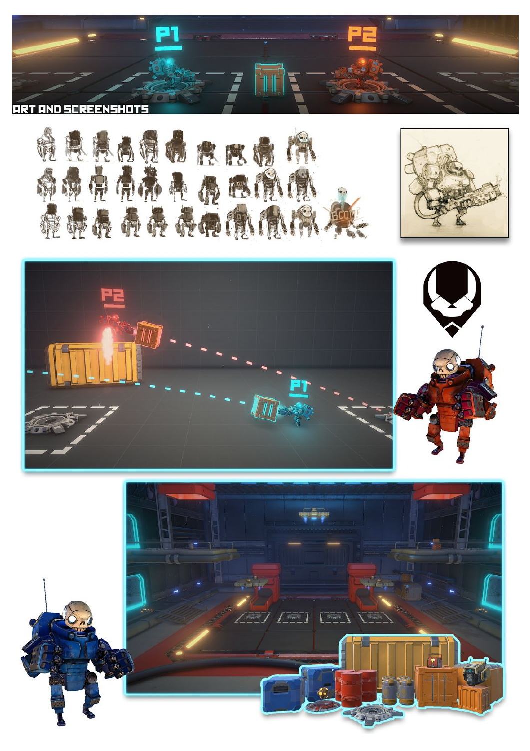







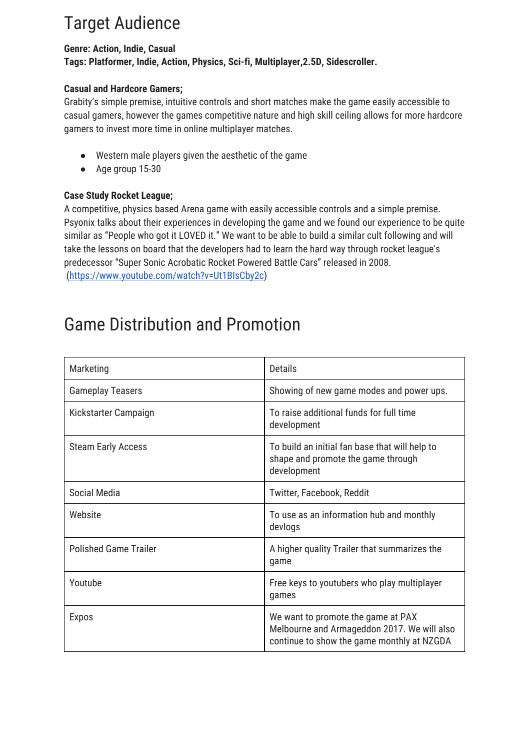## Target Audience

#### **Genre: Action, Indie, Casual Tags: Platformer, Indie, Action, Physics, Sci-fi, Multiplayer,2.5D, Sidescroller.**

#### **Casual and Hardcore Gamers;**

Grabity's simple premise, intuitive controls and short matches make the game easily accessible to casual gamers, however the games competitive nature and high skill ceiling allows for more hardcore gamers to invest more time in online multiplayer matches.

- Western male players given the aesthetic of the game
- Age group 15-30

#### **Case Study Rocket League;**

A competitive, physics based Arena game with easily accessible controls and a simple premise. Psyonix talks about their experiences in developing the game and we found our experience to be quite similar as "People who got it LOVED it." We want to be able to build a similar cult following and will take the lessons on board that the developers had to learn the hard way through rocket league's predecessor "Super Sonic Acrobatic Rocket Powered Battle Cars" released in 2008. ([https://www.youtube.com/watch?v=Ut1BIsCby2c\)](https://www.youtube.com/watch?v=Ut1BIsCby2c)

### Game Distribution and Promotion

| Marketing                    | <b>Details</b>                                                                                                                  |
|------------------------------|---------------------------------------------------------------------------------------------------------------------------------|
| <b>Gameplay Teasers</b>      | Showing of new game modes and power ups.                                                                                        |
| Kickstarter Campaign         | To raise additional funds for full time<br>development                                                                          |
| <b>Steam Early Access</b>    | To build an initial fan base that will help to<br>shape and promote the game through<br>development                             |
| Social Media                 | Twitter, Facebook, Reddit                                                                                                       |
| Website                      | To use as an information hub and monthly<br>devlogs                                                                             |
| <b>Polished Game Trailer</b> | A higher quality Trailer that summarizes the<br>qame                                                                            |
| Youtube                      | Free keys to youtubers who play multiplayer<br>games                                                                            |
| <b>Expos</b>                 | We want to promote the game at PAX<br>Melbourne and Armageddon 2017. We will also<br>continue to show the game monthly at NZGDA |